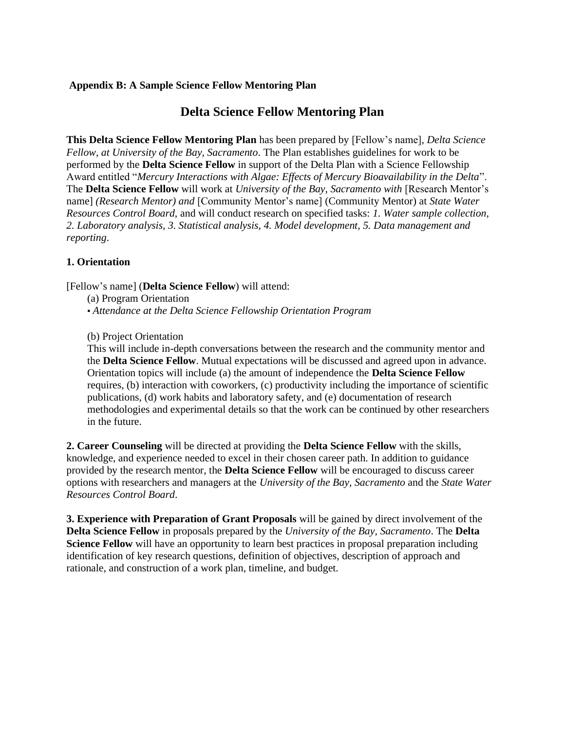## **Appendix B: A Sample Science Fellow Mentoring Plan**

## **Delta Science Fellow Mentoring Plan**

**This Delta Science Fellow Mentoring Plan** has been prepared by [Fellow's name]*, Delta Science Fellow, at University of the Bay, Sacramento*. The Plan establishes guidelines for work to be performed by the **Delta Science Fellow** in support of the Delta Plan with a Science Fellowship Award entitled "*Mercury Interactions with Algae: Effects of Mercury Bioavailability in the Delta*". The **Delta Science Fellow** will work at *University of the Bay, Sacramento with* [Research Mentor's name] *(Research Mentor) and* [Community Mentor's name] (Community Mentor) at *State Water Resources Control Board,* and will conduct research on specified tasks: *1. Water sample collection, 2. Laboratory analysis, 3. Statistical analysis, 4. Model development, 5. Data management and reporting*.

## **1. Orientation**

[Fellow's name] (**Delta Science Fellow**) will attend:

(a) Program Orientation

▪ *Attendance at the Delta Science Fellowship Orientation Program* 

(b) Project Orientation

This will include in-depth conversations between the research and the community mentor and the **Delta Science Fellow**. Mutual expectations will be discussed and agreed upon in advance. Orientation topics will include (a) the amount of independence the **Delta Science Fellow**  requires, (b) interaction with coworkers, (c) productivity including the importance of scientific publications, (d) work habits and laboratory safety, and (e) documentation of research methodologies and experimental details so that the work can be continued by other researchers in the future.

**2. Career Counseling** will be directed at providing the **Delta Science Fellow** with the skills, knowledge, and experience needed to excel in their chosen career path. In addition to guidance provided by the research mentor, the **Delta Science Fellow** will be encouraged to discuss career options with researchers and managers at the *University of the Bay, Sacramento* and the *State Water Resources Control Board*.

**3. Experience with Preparation of Grant Proposals** will be gained by direct involvement of the **Delta Science Fellow** in proposals prepared by the *University of the Bay, Sacramento*. The **Delta Science Fellow** will have an opportunity to learn best practices in proposal preparation including identification of key research questions, definition of objectives, description of approach and rationale, and construction of a work plan, timeline, and budget.